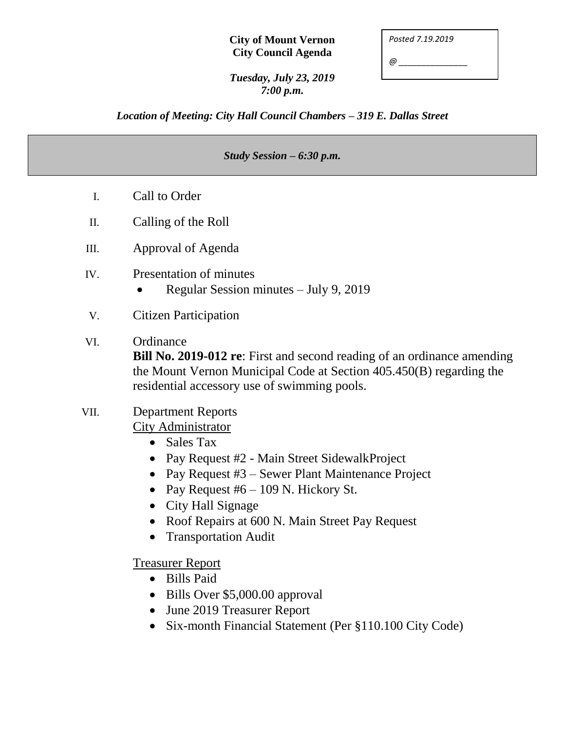*Posted 7.19.2019*

*@ \_\_\_\_\_\_\_\_\_\_\_\_\_\_\_*

*Tuesday, July 23, 2019 7:00 p.m.*

*Location of Meeting: City Hall Council Chambers – 319 E. Dallas Street*

#### *Study Session – 6:30 p.m.*

- I. Call to Order
- II. Calling of the Roll
- III. Approval of Agenda
- IV. Presentation of minutes
	- Regular Session minutes July 9, 2019
- V. Citizen Participation
- VI. Ordinance

**Bill No. 2019-012 re**: First and second reading of an ordinance amending the Mount Vernon Municipal Code at Section 405.450(B) regarding the residential accessory use of swimming pools.

# VII. Department Reports

City Administrator

- Sales Tax
- Pay Request #2 Main Street SidewalkProject
- Pay Request #3 Sewer Plant Maintenance Project
- Pay Request  $#6 109$  N. Hickory St.
- City Hall Signage
- Roof Repairs at 600 N. Main Street Pay Request
- Transportation Audit

Treasurer Report

- Bills Paid
- Bills Over \$5,000.00 approval
- June 2019 Treasurer Report
- Six-month Financial Statement (Per §110.100 City Code)